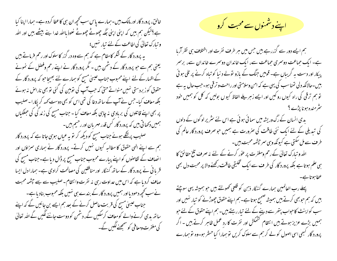خالق، پرورد گار اور مالک، بیں۔ہمارے پاس سب کحچھ ان ہی کا عطا کردہ ہے۔ہمار ا اپنا کیا ہے؟لیکن ہم ہیں کہ اپنی اپنی جگہ چھوٹے چھوٹے نعوذ بااللہ خدا بنے بیٹھے ہیں اور اللہ و تبارک تعالیٰ کی اطاعت کے لئے تبار نہیں؛ ہہ پرورد گار کے شکر کا مقام ہے کہ ہم سے وہ در گزر کا سلوک اور رحم فرماتے ہیں یعنی ہم سے حبو پرورد گار کے دشمن بیں ۔ مگر پرورد گار نے اپنے رحم وفضل کے نمونے کے اظہار کے لئے اپنے محبوب جناب عیسیٰ مسیح کو ہمارے لئے بھیجا حبو کہ پرور د گار کے حقوق کوز بردستی نہیں منواتےحتیٰ کہ جب آپ کی توہین کی گئی تو بھی ناراحل نہ ہوئے بلکہ معاف کیا۔جس نے آپ کے ساتھ دغا کی تھی اس کو بھی دوست کہہ کر پکارا۔صلیب پر بھی اپنے قاتلوں کی بربادی نہ چاہی بلکہ معاف کیا - جناب مسح کی زند کی کی حسکیاں ہمیں دکھا تی بیں کہ پرورد گار کس قدر مہر بان اور رحیم ہیں۔ صلیب پرلٹکے ہوئے جناب مسح کو دیکھ کر تو یہ عیاں ہوسی جاتا ہے کہ پرورد گار ہم سے اپنے الہی حقوق کا مطالبہ کیوں نہیں کرتے۔ پرورد گار نے ہماری سمزاؤں اور انصاف کے تقاصوں کو اپنے پیارے محبوب جناب مسح پر ڈال دیا ہے۔جناب مسح کی قر یا ٹی نے پرورد گار کے ساتھ گنہگار اور منافقین کی مصالحت کرادی ہے۔ ہمارا دل ایسا صاف کردیا ہے کہ اس میں عداوت رہی نہ نفرت وانتقام۔صلیب سے بھے جشمہ محبت نے سب کحچھ دھود یا اور ہمیں پرورد گار کے بندے ہی نہیں بلکہ محبوب بنادیاہے۔ جناب عیسیٰ مسح کی قربت حاصل کرنے کے بعد ہم ایسے بن جائیں گے کہ اپنے ساتھ بدی کرنے والے کومعاف کرسکیں گے، دشمن کو دوست جاننے لگیں گے اللہ تعالیٰ کی مغفرت ومعافی کو سمجھنےلکیں گے۔

۔<br>۔۔۔ اپنے دشمنوں سے محبت **کرو** 

ہم ایسے دور سے گزررہے ہیں جس میں ہر طرف نفرت اور اختلاف ہی نظر آربا ہے۔ ایک حماعت دوسمری حماعت سے، ایک خاندان دوسرے خاندان سے، برسر پیکار اور دست ہہ گریباں ہے۔ قومیں جنگ کے بازو تولے د نبا کو تباہ کرنے پر تلی ہوئی بیں۔حالانکہ دلی تمناسب کی یہی ہے کہ امن وسلامتی اور راحت و ترقی ہو۔حب حال یہ ہے تو ہم ترقی کی راہ کیوں رو کیں اور ایسے زہریلے الفاظ کیوں بولیں کہ کل کو ہمیں خود ۔<br>سشرمندہ ہونا پڑے ؟

یدی انسان کے رگ وریشہ میں سمائی ہوئی ہے اس لئے سٹر پر لوگوں کے دلوں کی تبدیلی کے لئے ایک نئی طاقت کی صرورت ہے ہمیں حو صرف پرورد گار عالم کی طرف سے مل سکتی ہے کیونکہ وہی سمر چشمہ محبت، بیں۔

الٹد و تبارک تعالیٰ کے رحم ومغفرت پر عوٰر کرنے کے لئے نہ صرف تلخ حقائق کا ہی علم ہو تا ہے بلکہ پرورد گار کی طر ف سے ایک تخلیقی طاقت رکھنے والا پر محبت دل بھی عطاہوتا ہے۔

پہلے رب العالمین ہمارے گنہگار ذہن کو قلعی کھولتے ہیں حو ہمیشہ یہی سوچتے ، بیں کہ ہم حوبھی کرتے ہیں ہمیشہ صحیح ہوتا ہے۔ہم اپنے حقوق چھوڑنے کو تیار نہیں اور سب کواینٹ کاحواب پتھر سے دینے کے لئے تیار رہتے ہیں۔ ہم اپنے حقوق کے لئے حبو ہمیں بڑے عزیز ہوتے ہیں انتقام کشمکش اور نفرت کا رد عمل ظاہر کرتے ہیں ۔ اگر پرورد گار کبھی اسی اصول کو لے کر ہم سے سلوک کریں تو ہمارا کیا حسٹر ہو۔وہ تو ہمارے